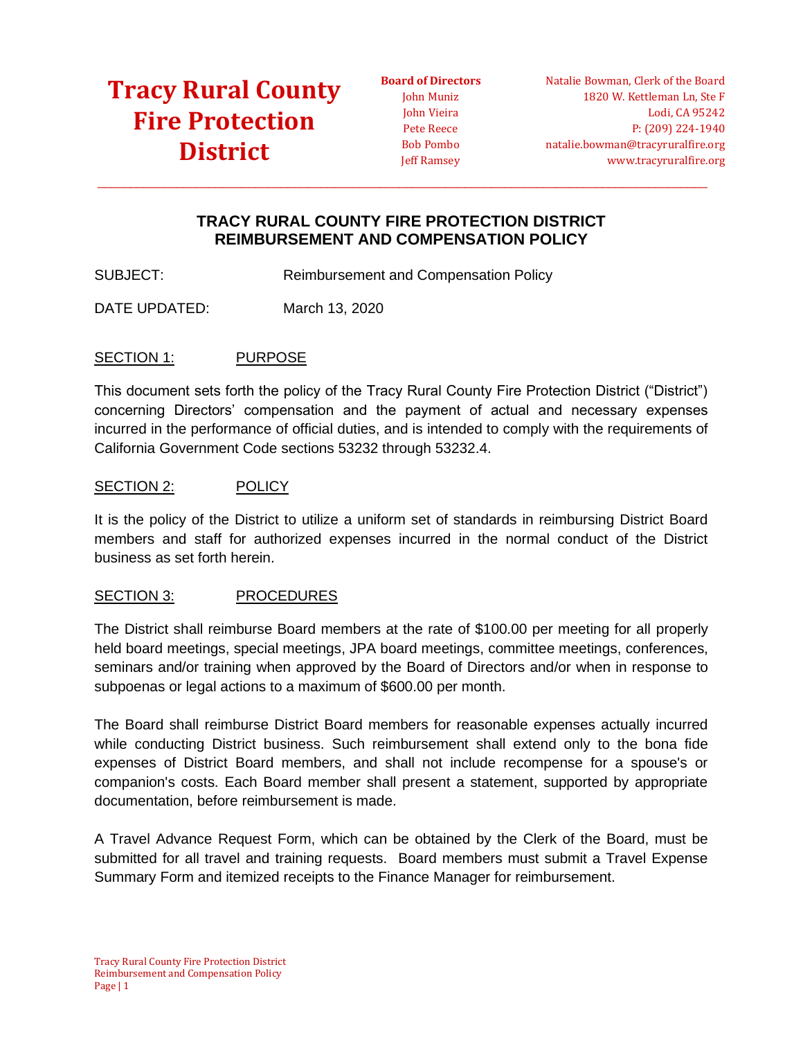# **[Tracy Rural County](https://tracyruralfire.org/)  [Fire Protection](https://tracyruralfire.org/)  [District](https://tracyruralfire.org/)**

**Board of Directors** John Muniz John Vieira Pete Reece Bob Pombo Jeff Ramsey

Natalie Bowman, Clerk of the Board 1820 W. Kettleman Ln, Ste F Lodi, CA 95242 P: (209) 224-1940 natalie.bowman@tracyruralfire.org www.tracyruralfire.org

### **TRACY RURAL COUNTY FIRE PROTECTION DISTRICT REIMBURSEMENT AND COMPENSATION POLICY**

 $\_$  ,  $\_$  ,  $\_$  ,  $\_$  ,  $\_$  ,  $\_$  ,  $\_$  ,  $\_$  ,  $\_$  ,  $\_$  ,  $\_$  ,  $\_$  ,  $\_$  ,  $\_$  ,  $\_$  ,  $\_$  ,  $\_$  ,  $\_$  ,  $\_$  ,  $\_$  ,  $\_$  ,  $\_$  ,  $\_$  ,  $\_$  ,  $\_$  ,  $\_$  ,  $\_$  ,  $\_$  ,  $\_$  ,  $\_$  ,  $\_$  ,  $\_$  ,  $\_$  ,  $\_$  ,  $\_$  ,  $\_$  ,  $\_$  ,

SUBJECT: Reimbursement and Compensation Policy

DATE UPDATED: March 13, 2020

### SECTION 1: PURPOSE

This document sets forth the policy of the Tracy Rural County Fire Protection District ("District") concerning Directors' compensation and the payment of actual and necessary expenses incurred in the performance of official duties, and is intended to comply with the requirements of California Government Code sections 53232 through 53232.4.

### SECTION 2: POLICY

It is the policy of the District to utilize a uniform set of standards in reimbursing District Board members and staff for authorized expenses incurred in the normal conduct of the District business as set forth herein.

#### SECTION 3: PROCEDURES

The District shall reimburse Board members at the rate of \$100.00 per meeting for all properly held board meetings, special meetings, JPA board meetings, committee meetings, conferences, seminars and/or training when approved by the Board of Directors and/or when in response to subpoenas or legal actions to a maximum of \$600.00 per month.

The Board shall reimburse District Board members for reasonable expenses actually incurred while conducting District business. Such reimbursement shall extend only to the bona fide expenses of District Board members, and shall not include recompense for a spouse's or companion's costs. Each Board member shall present a statement, supported by appropriate documentation, before reimbursement is made.

A Travel Advance Request Form, which can be obtained by the Clerk of the Board, must be submitted for all travel and training requests. Board members must submit a Travel Expense Summary Form and itemized receipts to the Finance Manager for reimbursement.